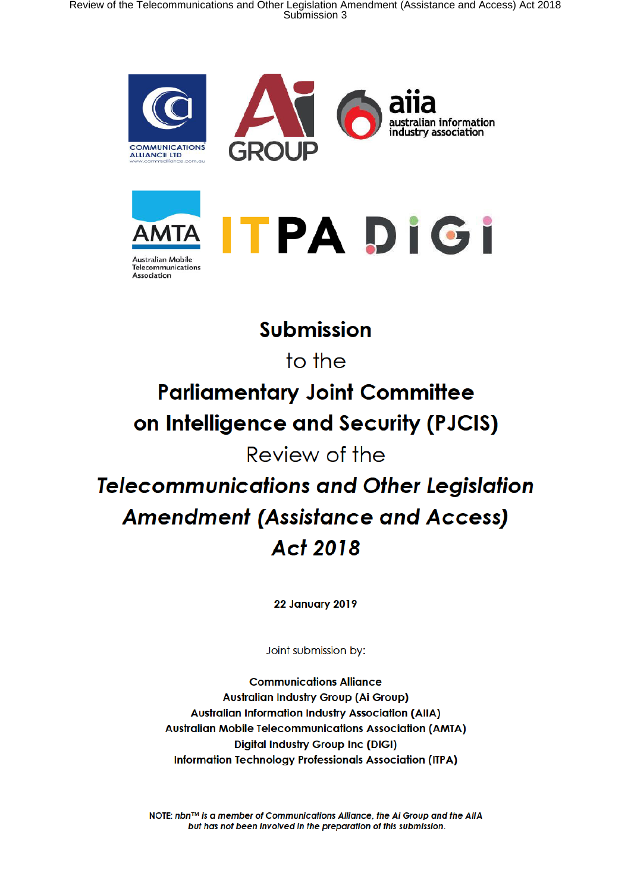





# **Submission**

to the

# **Parliamentary Joint Committee** on Intelligence and Security (PJCIS)

# Review of the

# **Telecommunications and Other Legislation Amendment (Assistance and Access) Act 2018**

**22 January 2019** 

Joint submission by:

**Communications Alliance Australian Industry Group (Ai Group) Australian Information Industry Association (AIIA) Australian Mobile Telecommunications Association (AMTA) Digital Industry Group Inc (DIGI) Information Technology Professionals Association (ITPA)** 

NOTE: nbn™ is a member of Communications Alliance, the Ai Group and the AllA but has not been involved in the preparation of this submission.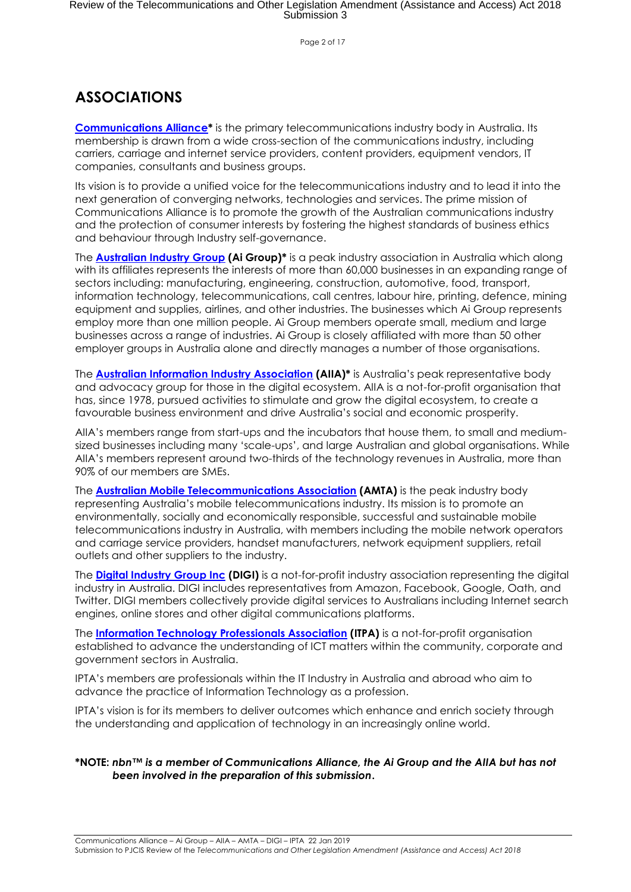Page 2 of 17

#### **ASSOCIATIONS**

**Communications Alliance\*** is the primary telecommunications industry body in Australia. Its membership is drawn from a wide cross-section of the communications industry, including carriers, carriage and internet service providers, content providers, equipment vendors, IT companies, consultants and business groups.

Its vision is to provide a unified voice for the telecommunications industry and to lead it into the next generation of converging networks, technologies and services. The prime mission of Communications Alliance is to promote the growth of the Australian communications industry and the protection of consumer interests by fostering the highest standards of business ethics and behaviour through Industry self-governance.

The **Australian Industry Group (Ai Group)\*** is a peak industry association in Australia which along with its affiliates represents the interests of more than 60,000 businesses in an expanding range of sectors including: manufacturing, engineering, construction, automotive, food, transport, information technology, telecommunications, call centres, labour hire, printing, defence, mining equipment and supplies, airlines, and other industries. The businesses which Ai Group represents employ more than one million people. Ai Group members operate small, medium and large businesses across a range of industries. Ai Group is closely affiliated with more than 50 other employer groups in Australia alone and directly manages a number of those organisations.

The **Australian Information Industry Association (AIIA)\*** is Australia's peak representative body and advocacy group for those in the digital ecosystem. AIIA is a not-for-profit organisation that has, since 1978, pursued activities to stimulate and grow the digital ecosystem, to create a favourable business environment and drive Australia's social and economic prosperity.

AIIA's members range from start-ups and the incubators that house them, to small and mediumsized businesses including many 'scale-ups', and large Australian and global organisations. While AIIA's members represent around two-thirds of the technology revenues in Australia, more than 90% of our members are SMEs.

The **Australian Mobile Telecommunications Association (AMTA)** is the peak industry body representing Australia's mobile telecommunications industry. Its mission is to promote an environmentally, socially and economically responsible, successful and sustainable mobile telecommunications industry in Australia, with members including the mobile network operators and carriage service providers, handset manufacturers, network equipment suppliers, retail outlets and other suppliers to the industry.

The **Digital Industry Group Inc (DIGI)** is a not-for-profit industry association representing the digital industry in Australia. DIGI includes representatives from Amazon, Facebook, Google, Oath, and Twitter. DIGI members collectively provide digital services to Australians including Internet search engines, online stores and other digital communications platforms.

The **Information Technology Professionals Association (ITPA)** is a not-for-profit organisation established to advance the understanding of ICT matters within the community, corporate and government sectors in Australia.

IPTA's members are professionals within the IT Industry in Australia and abroad who aim to advance the practice of Information Technology as a profession.

IPTA's vision is for its members to deliver outcomes which enhance and enrich society through the understanding and application of technology in an increasingly online world.

#### **\*NOTE:** *nbn™ is a member of Communications Alliance, the Ai Group and the AIIA but has not been involved in the preparation of this submission***.**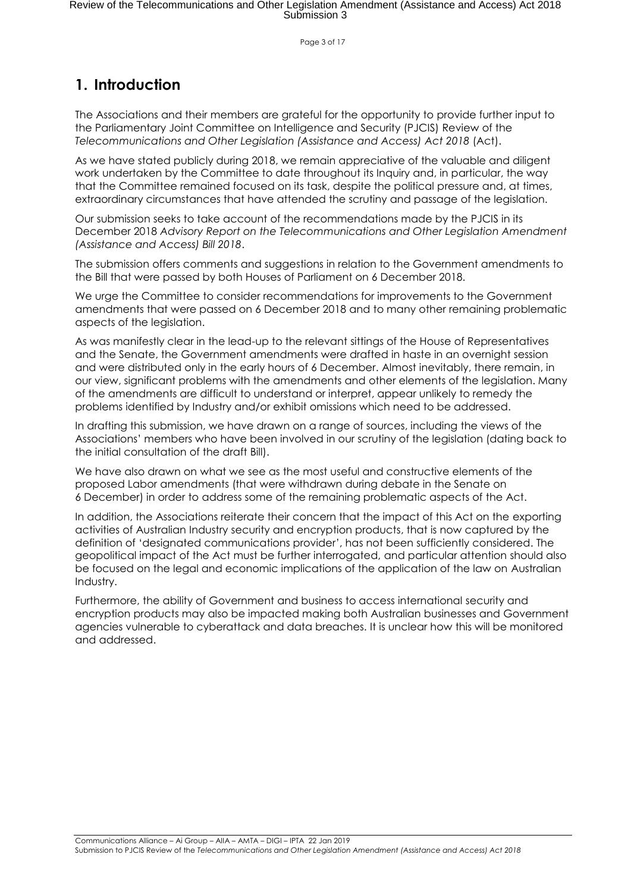Page 3 of 17

#### **1. Introduction**

The Associations and their members are grateful for the opportunity to provide further input to the Parliamentary Joint Committee on Intelligence and Security (PJCIS) Review of the *Telecommunications and Other Legislation (Assistance and Access) Act 2018* (Act).

As we have stated publicly during 2018, we remain appreciative of the valuable and diligent work undertaken by the Committee to date throughout its Inquiry and, in particular, the way that the Committee remained focused on its task, despite the political pressure and, at times, extraordinary circumstances that have attended the scrutiny and passage of the legislation.

Our submission seeks to take account of the recommendations made by the PJCIS in its December 2018 *Advisory Report on the Telecommunications and Other Legislation Amendment (Assistance and Access) Bill 2018*.

The submission offers comments and suggestions in relation to the Government amendments to the Bill that were passed by both Houses of Parliament on 6 December 2018.

We urge the Committee to consider recommendations for improvements to the Government amendments that were passed on 6 December 2018 and to many other remaining problematic aspects of the legislation.

As was manifestly clear in the lead-up to the relevant sittings of the House of Representatives and the Senate, the Government amendments were drafted in haste in an overnight session and were distributed only in the early hours of 6 December. Almost inevitably, there remain, in our view, significant problems with the amendments and other elements of the legislation. Many of the amendments are difficult to understand or interpret, appear unlikely to remedy the problems identified by Industry and/or exhibit omissions which need to be addressed.

In drafting this submission, we have drawn on a range of sources, including the views of the Associations' members who have been involved in our scrutiny of the legislation (dating back to the initial consultation of the draft Bill).

We have also drawn on what we see as the most useful and constructive elements of the proposed Labor amendments (that were withdrawn during debate in the Senate on 6 December) in order to address some of the remaining problematic aspects of the Act.

In addition, the Associations reiterate their concern that the impact of this Act on the exporting activities of Australian Industry security and encryption products, that is now captured by the definition of 'designated communications provider', has not been sufficiently considered. The geopolitical impact of the Act must be further interrogated, and particular attention should also be focused on the legal and economic implications of the application of the law on Australian Industry.

Furthermore, the ability of Government and business to access international security and encryption products may also be impacted making both Australian businesses and Government agencies vulnerable to cyberattack and data breaches. It is unclear how this will be monitored and addressed.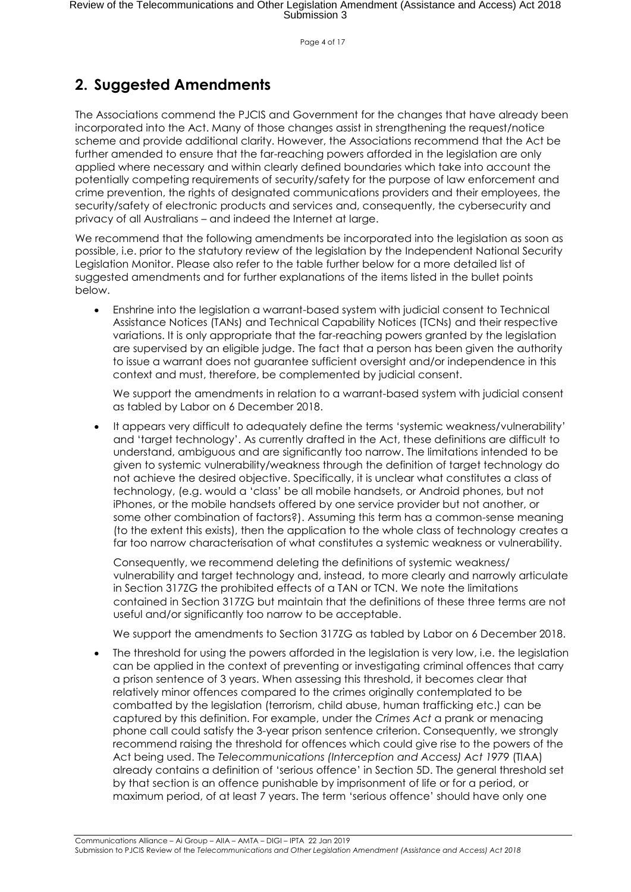Page 4 of 17

#### **2. Suggested Amendments**

The Associations commend the PJCIS and Government for the changes that have already been incorporated into the Act. Many of those changes assist in strengthening the request/notice scheme and provide additional clarity. However, the Associations recommend that the Act be further amended to ensure that the far-reaching powers afforded in the legislation are only applied where necessary and within clearly defined boundaries which take into account the potentially competing requirements of security/safety for the purpose of law enforcement and crime prevention, the rights of designated communications providers and their employees, the security/safety of electronic products and services and, consequently, the cybersecurity and privacy of all Australians – and indeed the Internet at large.

We recommend that the following amendments be incorporated into the legislation as soon as possible, i.e. prior to the statutory review of the legislation by the Independent National Security Legislation Monitor. Please also refer to the table further below for a more detailed list of suggested amendments and for further explanations of the items listed in the bullet points below.

• Enshrine into the legislation a warrant-based system with judicial consent to Technical Assistance Notices (TANs) and Technical Capability Notices (TCNs) and their respective variations. It is only appropriate that the far-reaching powers granted by the legislation are supervised by an eligible judge. The fact that a person has been given the authority to issue a warrant does not guarantee sufficient oversight and/or independence in this context and must, therefore, be complemented by judicial consent.

We support the amendments in relation to a warrant-based system with judicial consent as tabled by Labor on 6 December 2018.

• It appears very difficult to adequately define the terms 'systemic weakness/vulnerability' and 'target technology'. As currently drafted in the Act, these definitions are difficult to understand, ambiguous and are significantly too narrow. The limitations intended to be given to systemic vulnerability/weakness through the definition of target technology do not achieve the desired objective. Specifically, it is unclear what constitutes a class of technology, (e.g. would a 'class' be all mobile handsets, or Android phones, but not iPhones, or the mobile handsets offered by one service provider but not another, or some other combination of factors?). Assuming this term has a common-sense meaning (to the extent this exists), then the application to the whole class of technology creates a far too narrow characterisation of what constitutes a systemic weakness or vulnerability.

Consequently, we recommend deleting the definitions of systemic weakness/ vulnerability and target technology and, instead, to more clearly and narrowly articulate in Section 317ZG the prohibited effects of a TAN or TCN. We note the limitations contained in Section 317ZG but maintain that the definitions of these three terms are not useful and/or significantly too narrow to be acceptable.

We support the amendments to Section 3172G as tabled by Labor on 6 December 2018.

The threshold for using the powers afforded in the legislation is very low, i.e. the legislation can be applied in the context of preventing or investigating criminal offences that carry a prison sentence of 3 years. When assessing this threshold, it becomes clear that relatively minor offences compared to the crimes originally contemplated to be combatted by the legislation (terrorism, child abuse, human trafficking etc.) can be captured by this definition. For example, under the *Crimes Act* a prank or menacing phone call could satisfy the 3-year prison sentence criterion. Consequently, we strongly recommend raising the threshold for offences which could give rise to the powers of the Act being used. The *Telecommunications (Interception and Access) Act 1979* (TIAA) already contains a definition of 'serious offence' in Section 5D. The general threshold set by that section is an offence punishable by imprisonment of life or for a period, or maximum period, of at least 7 years. The term 'serious offence' should have only one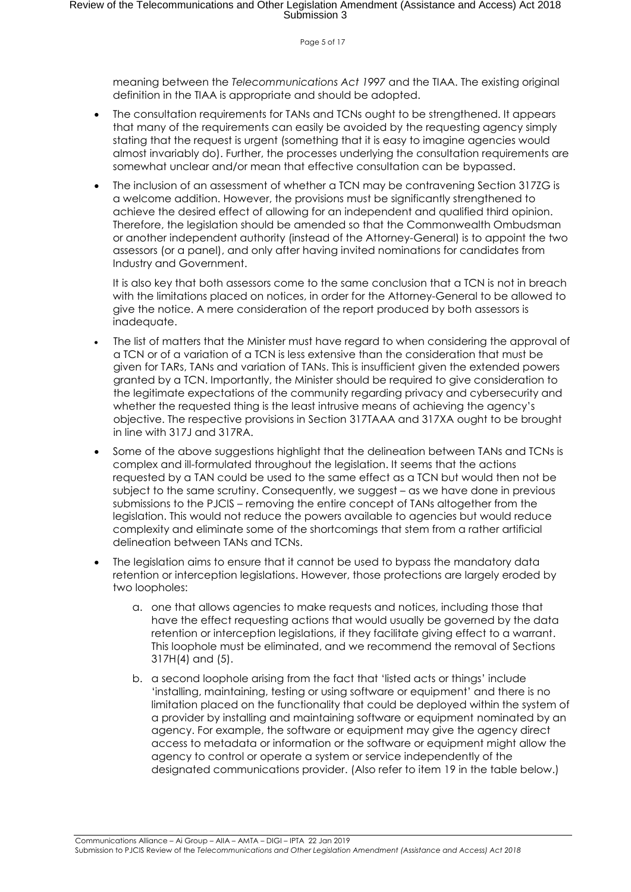Page 5 of 17

meaning between the *Telecommunications Act 1997* and the TIAA. The existing original definition in the TIAA is appropriate and should be adopted.

- The consultation requirements for TANs and TCNs ought to be strengthened. It appears that many of the requirements can easily be avoided by the requesting agency simply stating that the request is urgent (something that it is easy to imagine agencies would almost invariably do). Further, the processes underlying the consultation requirements are somewhat unclear and/or mean that effective consultation can be bypassed.
- The inclusion of an assessment of whether a TCN may be contravening Section 317ZG is a welcome addition. However, the provisions must be significantly strengthened to achieve the desired effect of allowing for an independent and qualified third opinion. Therefore, the legislation should be amended so that the Commonwealth Ombudsman or another independent authority (instead of the Attorney-General) is to appoint the two assessors (or a panel), and only after having invited nominations for candidates from Industry and Government.

It is also key that both assessors come to the same conclusion that a TCN is not in breach with the limitations placed on notices, in order for the Attorney-General to be allowed to give the notice. A mere consideration of the report produced by both assessors is inadequate.

- The list of matters that the Minister must have regard to when considering the approval of a TCN or of a variation of a TCN is less extensive than the consideration that must be given for TARs, TANs and variation of TANs. This is insufficient given the extended powers granted by a TCN. Importantly, the Minister should be required to give consideration to the legitimate expectations of the community regarding privacy and cybersecurity and whether the requested thing is the least intrusive means of achieving the agency's objective. The respective provisions in Section 317TAAA and 317XA ought to be brought in line with 317J and 317RA.
- Some of the above suggestions highlight that the delineation between TANs and TCNs is complex and ill-formulated throughout the legislation. It seems that the actions requested by a TAN could be used to the same effect as a TCN but would then not be subject to the same scrutiny. Consequently, we suggest – as we have done in previous submissions to the PJCIS – removing the entire concept of TANs altogether from the legislation. This would not reduce the powers available to agencies but would reduce complexity and eliminate some of the shortcomings that stem from a rather artificial delineation between TANs and TCNs.
- The legislation aims to ensure that it cannot be used to bypass the mandatory data retention or interception legislations. However, those protections are largely eroded by two loopholes:
	- a. one that allows agencies to make requests and notices, including those that have the effect requesting actions that would usually be governed by the data retention or interception legislations, if they facilitate giving effect to a warrant. This loophole must be eliminated, and we recommend the removal of Sections 317H(4) and (5).
	- b. a second loophole arising from the fact that 'listed acts or things' include 'installing, maintaining, testing or using software or equipment' and there is no limitation placed on the functionality that could be deployed within the system of a provider by installing and maintaining software or equipment nominated by an agency. For example, the software or equipment may give the agency direct access to metadata or information or the software or equipment might allow the agency to control or operate a system or service independently of the designated communications provider. (Also refer to item 19 in the table below.)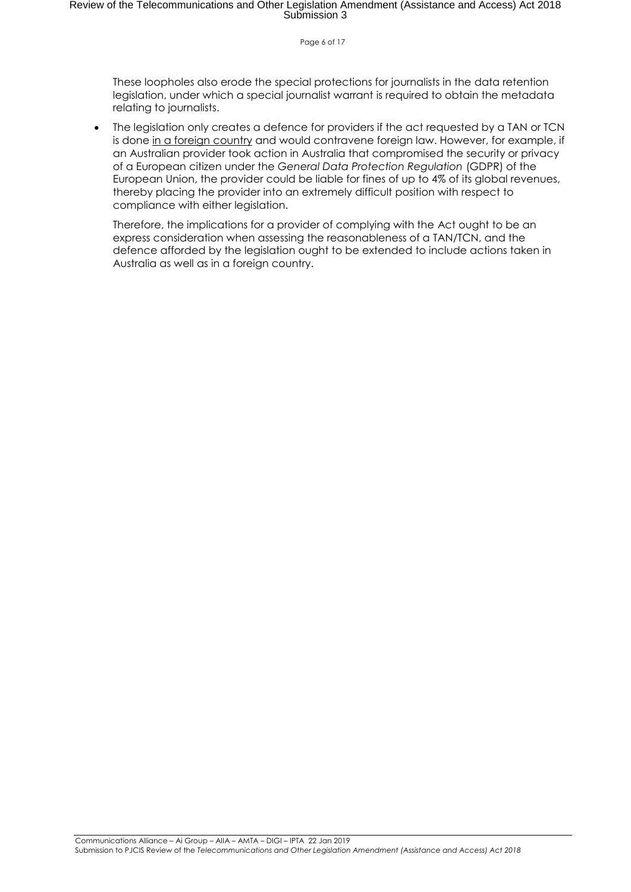#### Page 6 of 17

These loopholes also erode the special protections for journalists in the data retention legislation, under which a special journalist warrant is required to obtain the metadata relating to journalists.

The legislation only creates a defence for providers if the act requested by a TAN or TCN is done in a foreign country and would contravene foreign law. However, for example, if an Australian provider took action in Australia that compromised the security or privacy of a European citizen under the *General Data Protection Regulation* (GDPR) of the European Union, the provider could be liable for fines of up to 4% of its global revenues, thereby placing the provider into an extremely difficult position with respect to compliance with either legislation.

Therefore, the implications for a provider of complying with the Act ought to be an express consideration when assessing the reasonableness of a TAN/TCN, and the defence afforded by the legislation ought to be extended to include actions taken in Australia as well as in a foreign country.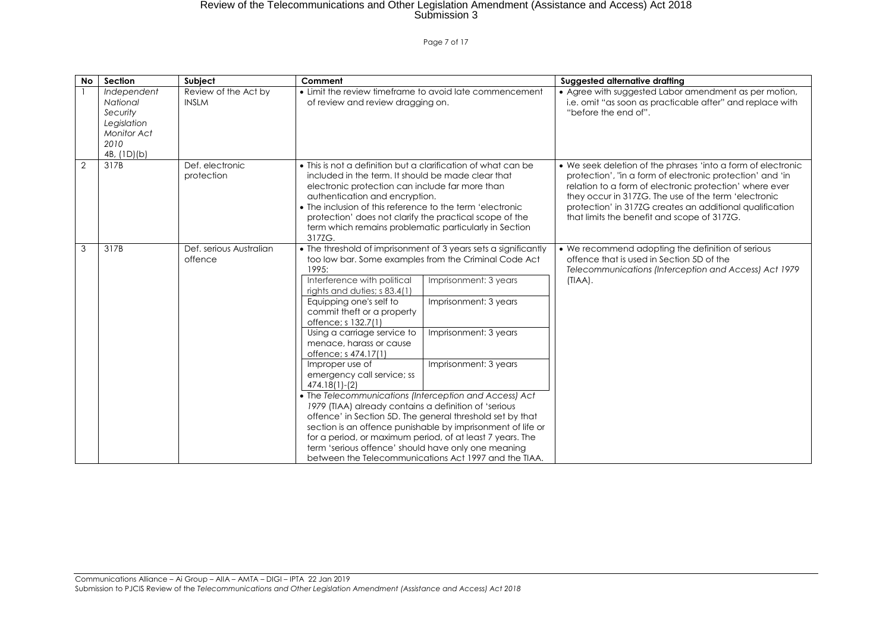#### Page 7 of 17

| No             | Section                                                                                         | Subject                              | Comment                                                                                                                                                                                                                                                                                                                                                                                                                                                                                                                                           |                                                                                                                                                                                                                                                                                                                                                                                                                   | Suggested alternative drafting                                                                                                                                                                                                                                                                                                                          |
|----------------|-------------------------------------------------------------------------------------------------|--------------------------------------|---------------------------------------------------------------------------------------------------------------------------------------------------------------------------------------------------------------------------------------------------------------------------------------------------------------------------------------------------------------------------------------------------------------------------------------------------------------------------------------------------------------------------------------------------|-------------------------------------------------------------------------------------------------------------------------------------------------------------------------------------------------------------------------------------------------------------------------------------------------------------------------------------------------------------------------------------------------------------------|---------------------------------------------------------------------------------------------------------------------------------------------------------------------------------------------------------------------------------------------------------------------------------------------------------------------------------------------------------|
|                | Independent<br>National<br>Security<br>Legislation<br><b>Monitor Act</b><br>2010<br>4B, (1D)(b) | Review of the Act by<br><b>INSLM</b> | • Limit the review timeframe to avoid late commencement<br>of review and review dragging on.                                                                                                                                                                                                                                                                                                                                                                                                                                                      |                                                                                                                                                                                                                                                                                                                                                                                                                   | • Agree with suggested Labor amendment as per motion,<br>i.e. omit "as soon as practicable after" and replace with<br>"before the end of".                                                                                                                                                                                                              |
| $\overline{2}$ | 317B                                                                                            | Def. electronic<br>protection        | • This is not a definition but a clarification of what can be<br>included in the term. It should be made clear that<br>electronic protection can include far more than<br>authentication and encryption.<br>• The inclusion of this reference to the term 'electronic<br>protection' does not clarify the practical scope of the<br>term which remains problematic particularly in Section<br>317ZG.                                                                                                                                              |                                                                                                                                                                                                                                                                                                                                                                                                                   | • We seek deletion of the phrases 'into a form of electronic<br>protection', "in a form of electronic protection' and 'in<br>relation to a form of electronic protection' where ever<br>they occur in 3172G. The use of the term 'electronic<br>protection' in 317ZG creates an additional qualification<br>that limits the benefit and scope of 317ZG. |
| 3              | 317B                                                                                            | Def. serious Australian<br>offence   | 1995:<br>Interference with political<br>rights and duties; s 83.4(1)<br>Equipping one's self to<br>commit theft or a property<br>offence; s 132.7(1)<br>Using a carriage service to<br>menace, harass or cause<br>offence; s 474.17(1)<br>Improper use of<br>emergency call service; ss<br>$474.18(1)-(2)$<br>• The Telecommunications (Interception and Access) Act<br>1979 (TIAA) already contains a definition of 'serious<br>for a period, or maximum period, of at least 7 years. The<br>term 'serious offence' should have only one meaning | • The threshold of imprisonment of 3 years sets a significantly<br>too low bar. Some examples from the Criminal Code Act<br>Imprisonment: 3 years<br>Imprisonment: 3 years<br>Imprisonment: 3 years<br>Imprisonment: 3 years<br>offence' in Section 5D. The general threshold set by that<br>section is an offence punishable by imprisonment of life or<br>between the Telecommunications Act 1997 and the TIAA. | • We recommend adopting the definition of serious<br>offence that is used in Section 5D of the<br>Telecommunications (Interception and Access) Act 1979<br>$(IIAA)$ .                                                                                                                                                                                   |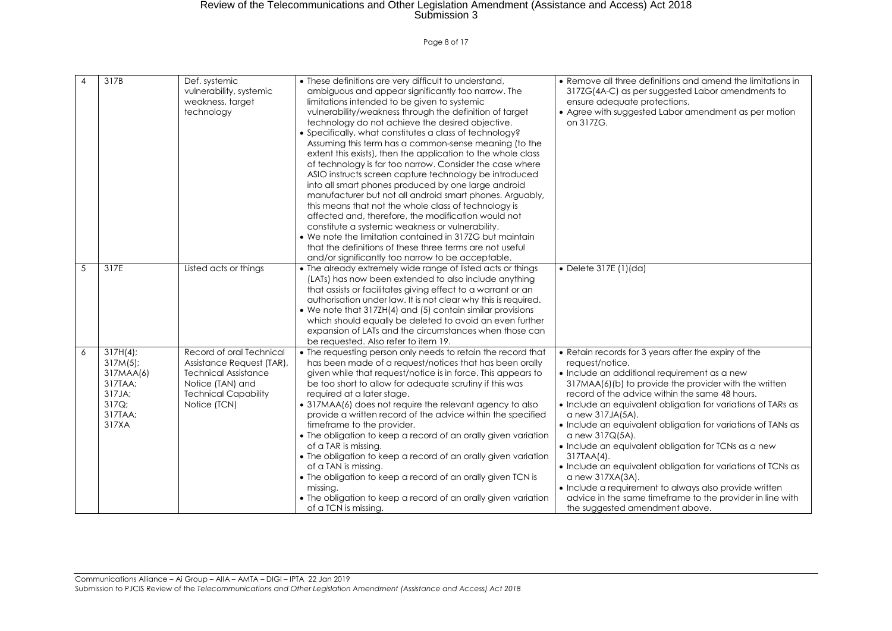Page 8 of 17

| 4 | 317B                                                                                      | Def. systemic<br>vulnerability, systemic<br>weakness, target<br>technology                                                                              | • These definitions are very difficult to understand,<br>ambiguous and appear significantly too narrow. The<br>limitations intended to be given to systemic<br>vulnerability/weakness through the definition of target<br>technology do not achieve the desired objective.<br>• Specifically, what constitutes a class of technology?<br>Assuming this term has a common-sense meaning (to the<br>extent this exists), then the application to the whole class<br>of technology is far too narrow. Consider the case where<br>ASIO instructs screen capture technology be introduced<br>into all smart phones produced by one large android<br>manufacturer but not all android smart phones. Arguably,<br>this means that not the whole class of technology is<br>affected and, therefore, the modification would not<br>constitute a systemic weakness or vulnerability.<br>• We note the limitation contained in 317ZG but maintain<br>that the definitions of these three terms are not useful<br>and/or significantly too narrow to be acceptable. | • Remove all three definitions and amend the limitations in<br>317ZG(4A-C) as per suggested Labor amendments to<br>ensure adequate protections.<br>• Agree with suggested Labor amendment as per motion<br>on 317ZG.                                                                                                                                                                                                                                                                                                                                                                                                                                                                                                         |
|---|-------------------------------------------------------------------------------------------|---------------------------------------------------------------------------------------------------------------------------------------------------------|---------------------------------------------------------------------------------------------------------------------------------------------------------------------------------------------------------------------------------------------------------------------------------------------------------------------------------------------------------------------------------------------------------------------------------------------------------------------------------------------------------------------------------------------------------------------------------------------------------------------------------------------------------------------------------------------------------------------------------------------------------------------------------------------------------------------------------------------------------------------------------------------------------------------------------------------------------------------------------------------------------------------------------------------------------|------------------------------------------------------------------------------------------------------------------------------------------------------------------------------------------------------------------------------------------------------------------------------------------------------------------------------------------------------------------------------------------------------------------------------------------------------------------------------------------------------------------------------------------------------------------------------------------------------------------------------------------------------------------------------------------------------------------------------|
| 5 | 317E                                                                                      | Listed acts or things                                                                                                                                   | • The already extremely wide range of listed acts or things<br>(LATs) has now been extended to also include anything<br>that assists or facilitates giving effect to a warrant or an<br>authorisation under law. It is not clear why this is required.<br>• We note that 317ZH(4) and (5) contain similar provisions<br>which should equally be deleted to avoid an even further<br>expansion of LATs and the circumstances when those can<br>be requested. Also refer to item 19.                                                                                                                                                                                                                                                                                                                                                                                                                                                                                                                                                                      | • Delete 317E (1)(da)                                                                                                                                                                                                                                                                                                                                                                                                                                                                                                                                                                                                                                                                                                        |
| 6 | $317H(4)$ ;<br>$317M(5)$ ;<br>317MAA(6)<br>317TAA;<br>317JA;<br>317Q;<br>317TAA;<br>317XA | Record of oral Technical<br>Assistance Request (TAR),<br><b>Technical Assistance</b><br>Notice (TAN) and<br><b>Technical Capability</b><br>Notice (TCN) | • The requesting person only needs to retain the record that<br>has been made of a request/notices that has been orally<br>given while that request/notice is in force. This appears to<br>be too short to allow for adequate scrutiny if this was<br>required at a later stage.<br>• 317MAA(6) does not require the relevant agency to also<br>provide a written record of the advice within the specified<br>timeframe to the provider.<br>• The obligation to keep a record of an orally given variation<br>of a TAR is missing.<br>• The obligation to keep a record of an orally given variation<br>of a TAN is missing.<br>• The obligation to keep a record of an orally given TCN is<br>missing.<br>• The obligation to keep a record of an orally given variation<br>of a TCN is missing.                                                                                                                                                                                                                                                      | • Retain records for 3 years after the expiry of the<br>request/notice.<br>• Include an additional requirement as a new<br>317MAA(6)(b) to provide the provider with the written<br>record of the advice within the same 48 hours.<br>· Include an equivalent obligation for variations of TARs as<br>a new 317JA(5A).<br>• Include an equivalent obligation for variations of TANs as<br>a new 317Q(5A).<br>• Include an equivalent obligation for TCNs as a new<br>317TAA(4).<br>• Include an equivalent obligation for variations of TCNs as<br>a new 317XA(3A).<br>• Include a requirement to always also provide written<br>advice in the same timeframe to the provider in line with<br>the suggested amendment above. |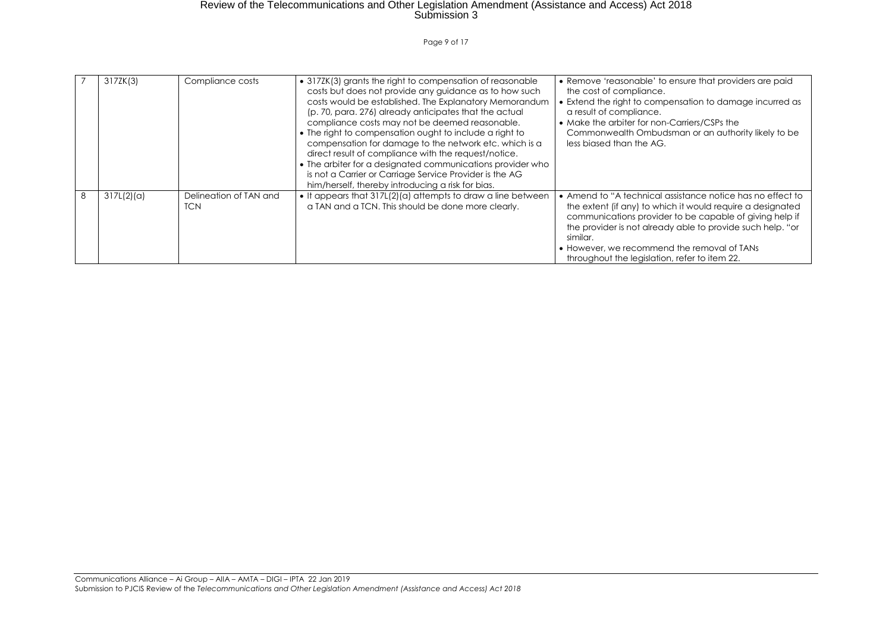Page 9 of 17

|   | 317ZK(3)   | Compliance costs                     | • 3172K(3) grants the right to compensation of reasonable<br>costs but does not provide any guidance as to how such<br>costs would be established. The Explanatory Memorandum<br>(p. 70, para. 276) already anticipates that the actual<br>compliance costs may not be deemed reasonable.<br>• The right to compensation ought to include a right to<br>compensation for damage to the network etc. which is a<br>direct result of compliance with the request/notice.<br>• The arbiter for a designated communications provider who<br>is not a Carrier or Carriage Service Provider is the AG<br>him/herself, thereby introducing a risk for bias. | • Remove 'reasonable' to ensure that providers are paid<br>the cost of compliance.<br>• Extend the right to compensation to damage incurred as<br>a result of compliance.<br>• Make the arbiter for non-Carriers/CSPs the<br>Commonwealth Ombudsman or an authority likely to be<br>less biased than the AG.                                                  |
|---|------------|--------------------------------------|------------------------------------------------------------------------------------------------------------------------------------------------------------------------------------------------------------------------------------------------------------------------------------------------------------------------------------------------------------------------------------------------------------------------------------------------------------------------------------------------------------------------------------------------------------------------------------------------------------------------------------------------------|---------------------------------------------------------------------------------------------------------------------------------------------------------------------------------------------------------------------------------------------------------------------------------------------------------------------------------------------------------------|
| 8 | 317L(2)(a) | Delineation of TAN and<br><b>TCN</b> | • It appears that 317L(2)(a) attempts to draw a line between<br>a TAN and a TCN. This should be done more clearly.                                                                                                                                                                                                                                                                                                                                                                                                                                                                                                                                   | • Amend to "A technical assistance notice has no effect to<br>the extent (if any) to which it would require a designated<br>communications provider to be capable of giving help if<br>the provider is not already able to provide such help. "or<br>similar.<br>• However, we recommend the removal of TANs<br>throughout the legislation, refer to item 22. |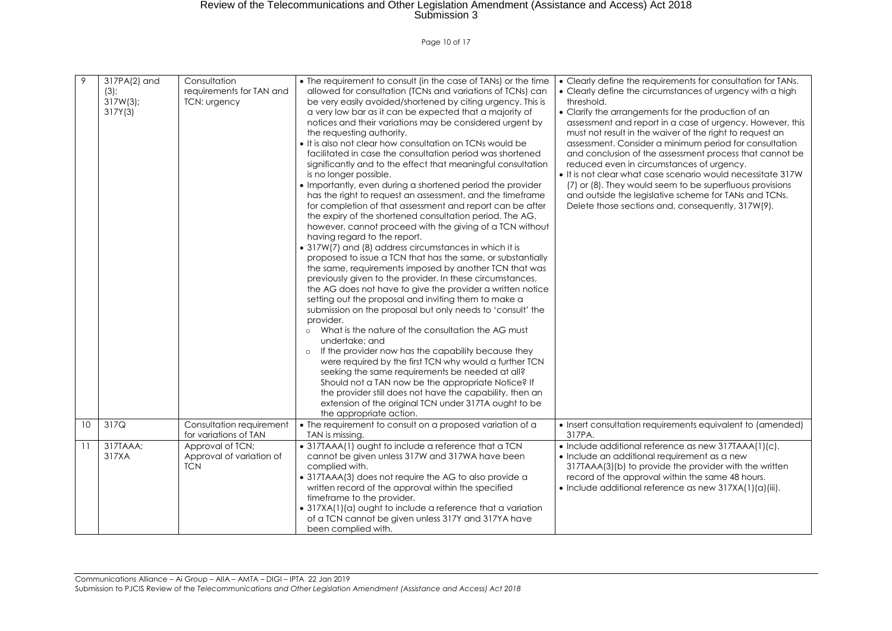Page 10 of 17

| 9  | 317PA(2) and<br>(3)<br>$317W(3)$ ;<br>317Y(3) | Consultation<br>requirements for TAN and<br>TCN: urgency   | • The requirement to consult (in the case of TANs) or the time<br>allowed for consultation (TCNs and variations of TCNs) can<br>be very easily avoided/shortened by citing urgency. This is<br>a very low bar as it can be expected that a majority of<br>notices and their variations may be considered urgent by<br>the requesting authority.<br>. It is also not clear how consultation on TCNs would be<br>facilitated in case the consultation period was shortened<br>significantly and to the effect that meaningful consultation<br>is no longer possible.<br>• Importantly, even during a shortened period the provider<br>has the right to request an assessment, and the timeframe<br>for completion of that assessment and report can be after<br>the expiry of the shortened consultation period. The AG,<br>however, cannot proceed with the giving of a TCN without<br>having regard to the report.<br>• 317W(7) and (8) address circumstances in which it is<br>proposed to issue a TCN that has the same, or substantially<br>the same, requirements imposed by another TCN that was<br>previously given to the provider. In these circumstances,<br>the AG does not have to give the provider a written notice<br>setting out the proposal and inviting them to make a<br>submission on the proposal but only needs to 'consult' the<br>provider.<br>What is the nature of the consultation the AG must<br>undertake; and<br>If the provider now has the capability because they<br>$\circ$<br>were required by the first TCN why would a further TCN<br>seeking the same requirements be needed at all?<br>Should not a TAN now be the appropriate Notice? If<br>the provider still does not have the capability, then an<br>extension of the original TCN under 317TA ought to be<br>the appropriate action. | • Clearly define the requirements for consultation for TANs.<br>• Clearly define the circumstances of urgency with a high<br>threshold.<br>• Clarify the arrangements for the production of an<br>assessment and report in a case of urgency. However, this<br>must not result in the waiver of the right to request an<br>assessment. Consider a minimum period for consultation<br>and conclusion of the assessment process that cannot be<br>reduced even in circumstances of urgency.<br>. It is not clear what case scenario would necessitate 317W<br>(7) or (8). They would seem to be superfluous provisions<br>and outside the legislative scheme for TANs and TCNs.<br>Delete those sections and, consequently, 317W(9). |
|----|-----------------------------------------------|------------------------------------------------------------|----------------------------------------------------------------------------------------------------------------------------------------------------------------------------------------------------------------------------------------------------------------------------------------------------------------------------------------------------------------------------------------------------------------------------------------------------------------------------------------------------------------------------------------------------------------------------------------------------------------------------------------------------------------------------------------------------------------------------------------------------------------------------------------------------------------------------------------------------------------------------------------------------------------------------------------------------------------------------------------------------------------------------------------------------------------------------------------------------------------------------------------------------------------------------------------------------------------------------------------------------------------------------------------------------------------------------------------------------------------------------------------------------------------------------------------------------------------------------------------------------------------------------------------------------------------------------------------------------------------------------------------------------------------------------------------------------------------------------------------------------------------------------------------------------------------------------------|------------------------------------------------------------------------------------------------------------------------------------------------------------------------------------------------------------------------------------------------------------------------------------------------------------------------------------------------------------------------------------------------------------------------------------------------------------------------------------------------------------------------------------------------------------------------------------------------------------------------------------------------------------------------------------------------------------------------------------|
| 10 | $\overline{3}17Q$                             | Consultation requirement<br>for variations of TAN          | • The requirement to consult on a proposed variation of a<br>TAN is missing.                                                                                                                                                                                                                                                                                                                                                                                                                                                                                                                                                                                                                                                                                                                                                                                                                                                                                                                                                                                                                                                                                                                                                                                                                                                                                                                                                                                                                                                                                                                                                                                                                                                                                                                                                     | • Insert consultation requirements equivalent to (amended)<br>317PA.                                                                                                                                                                                                                                                                                                                                                                                                                                                                                                                                                                                                                                                               |
| 11 | 317TAAA;<br>317XA                             | Approval of TCN;<br>Approval of variation of<br><b>TCN</b> | • 317TAAA(1) ought to include a reference that a TCN<br>cannot be given unless 317W and 317WA have been<br>complied with.<br>• 317TAAA(3) does not require the AG to also provide a<br>written record of the approval within the specified<br>timeframe to the provider.<br>• 317XA(1)(a) ought to include a reference that a variation<br>of a TCN cannot be given unless 317Y and 317YA have<br>been complied with.                                                                                                                                                                                                                                                                                                                                                                                                                                                                                                                                                                                                                                                                                                                                                                                                                                                                                                                                                                                                                                                                                                                                                                                                                                                                                                                                                                                                            | • Include additional reference as new 317TAAA(1)(c).<br>• Include an additional requirement as a new<br>317TAAA(3)(b) to provide the provider with the written<br>record of the approval within the same 48 hours.<br>• Include additional reference as new 317XA(1)(a)(iii).                                                                                                                                                                                                                                                                                                                                                                                                                                                      |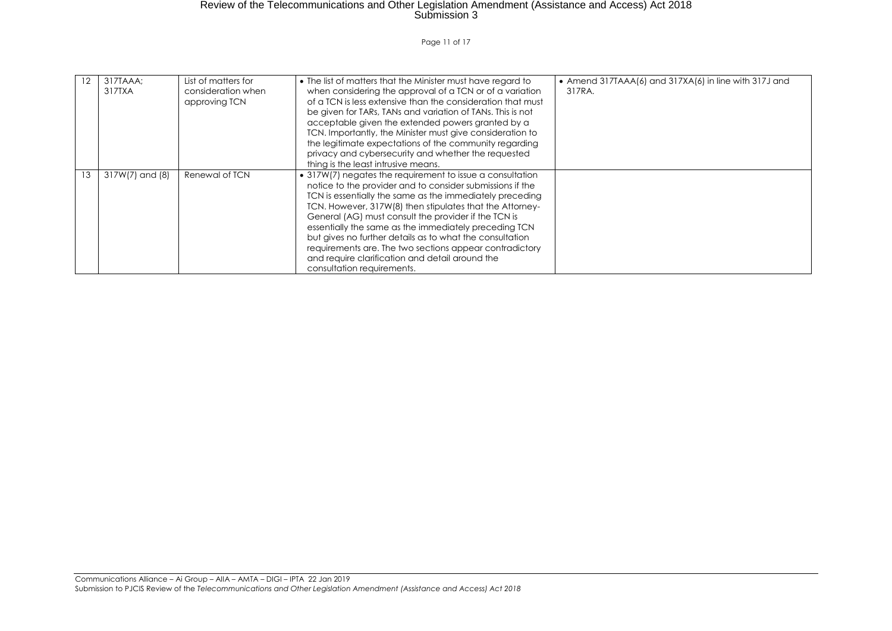Page 11 of 17

| 12 | 317TAAA:<br>317TXA | List of matters for<br>consideration when<br>approving TCN | • The list of matters that the Minister must have regard to<br>when considering the approval of a TCN or of a variation<br>of a TCN is less extensive than the consideration that must<br>be given for TARs, TANs and variation of TANs. This is not<br>acceptable given the extended powers granted by a<br>TCN. Importantly, the Minister must give consideration to<br>the legitimate expectations of the community regarding<br>privacy and cybersecurity and whether the requested<br>thing is the least intrusive means.                                          | • Amend 317TAAA $(6)$ and 317XA $(6)$ in line with 317J and<br>317RA. |
|----|--------------------|------------------------------------------------------------|-------------------------------------------------------------------------------------------------------------------------------------------------------------------------------------------------------------------------------------------------------------------------------------------------------------------------------------------------------------------------------------------------------------------------------------------------------------------------------------------------------------------------------------------------------------------------|-----------------------------------------------------------------------|
| 13 | 317W(7) and (8)    | Renewal of TCN                                             | • 317W(7) negates the requirement to issue a consultation<br>notice to the provider and to consider submissions if the<br>TCN is essentially the same as the immediately preceding<br>TCN. However, 317W(8) then stipulates that the Attorney-<br>General (AG) must consult the provider if the TCN is<br>essentially the same as the immediately preceding TCN<br>but gives no further details as to what the consultation<br>requirements are. The two sections appear contradictory<br>and require clarification and detail around the<br>consultation requirements. |                                                                       |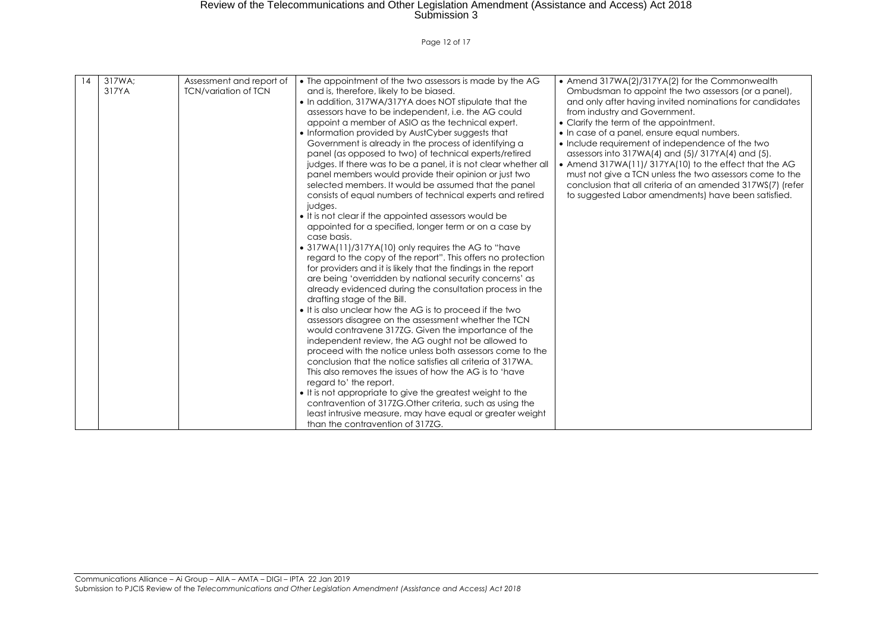Page 12 of 17

| 14 | 317WA:<br>317YA | Assessment and report of<br><b>TCN/variation of TCN</b> | • The appointment of the two assessors is made by the AG<br>and is, therefore, likely to be biased.<br>• In addition, 317WA/317YA does NOT stipulate that the<br>assessors have to be independent, i.e. the AG could<br>appoint a member of ASIO as the technical expert.<br>• Information provided by AustCyber suggests that<br>Government is already in the process of identifying a<br>panel (as opposed to two) of technical experts/retired<br>judges. If there was to be a panel, it is not clear whether all<br>panel members would provide their opinion or just two<br>selected members. It would be assumed that the panel<br>consists of equal numbers of technical experts and retired<br>judges.<br>• It is not clear if the appointed assessors would be<br>appointed for a specified, longer term or on a case by<br>case basis.<br>• 317WA(11)/317YA(10) only requires the AG to "have<br>regard to the copy of the report". This offers no protection<br>for providers and it is likely that the findings in the report<br>are being 'overridden by national security concerns' as<br>already evidenced during the consultation process in the | • Amend 317WA(2)/317YA(2) for the Commonwealth<br>Ombudsman to appoint the two assessors (or a panel),<br>and only after having invited nominations for candidates<br>from industry and Government.<br>• Clarify the term of the appointment.<br>• In case of a panel, ensure equal numbers.<br>• Include requirement of independence of the two<br>assessors into $317WA(4)$ and $(5)/317YA(4)$ and $(5)$ .<br>• Amend 317WA(11)/ 317YA(10) to the effect that the AG<br>must not give a TCN unless the two assessors come to the<br>conclusion that all criteria of an amended 317WS(7) (refer<br>to suggested Labor amendments) have been satisfied. |
|----|-----------------|---------------------------------------------------------|------------------------------------------------------------------------------------------------------------------------------------------------------------------------------------------------------------------------------------------------------------------------------------------------------------------------------------------------------------------------------------------------------------------------------------------------------------------------------------------------------------------------------------------------------------------------------------------------------------------------------------------------------------------------------------------------------------------------------------------------------------------------------------------------------------------------------------------------------------------------------------------------------------------------------------------------------------------------------------------------------------------------------------------------------------------------------------------------------------------------------------------------------------------|---------------------------------------------------------------------------------------------------------------------------------------------------------------------------------------------------------------------------------------------------------------------------------------------------------------------------------------------------------------------------------------------------------------------------------------------------------------------------------------------------------------------------------------------------------------------------------------------------------------------------------------------------------|
|    |                 |                                                         |                                                                                                                                                                                                                                                                                                                                                                                                                                                                                                                                                                                                                                                                                                                                                                                                                                                                                                                                                                                                                                                                                                                                                                  |                                                                                                                                                                                                                                                                                                                                                                                                                                                                                                                                                                                                                                                         |
|    |                 |                                                         |                                                                                                                                                                                                                                                                                                                                                                                                                                                                                                                                                                                                                                                                                                                                                                                                                                                                                                                                                                                                                                                                                                                                                                  |                                                                                                                                                                                                                                                                                                                                                                                                                                                                                                                                                                                                                                                         |
|    |                 |                                                         |                                                                                                                                                                                                                                                                                                                                                                                                                                                                                                                                                                                                                                                                                                                                                                                                                                                                                                                                                                                                                                                                                                                                                                  |                                                                                                                                                                                                                                                                                                                                                                                                                                                                                                                                                                                                                                                         |
|    |                 |                                                         |                                                                                                                                                                                                                                                                                                                                                                                                                                                                                                                                                                                                                                                                                                                                                                                                                                                                                                                                                                                                                                                                                                                                                                  |                                                                                                                                                                                                                                                                                                                                                                                                                                                                                                                                                                                                                                                         |
|    |                 |                                                         |                                                                                                                                                                                                                                                                                                                                                                                                                                                                                                                                                                                                                                                                                                                                                                                                                                                                                                                                                                                                                                                                                                                                                                  |                                                                                                                                                                                                                                                                                                                                                                                                                                                                                                                                                                                                                                                         |
|    |                 |                                                         |                                                                                                                                                                                                                                                                                                                                                                                                                                                                                                                                                                                                                                                                                                                                                                                                                                                                                                                                                                                                                                                                                                                                                                  |                                                                                                                                                                                                                                                                                                                                                                                                                                                                                                                                                                                                                                                         |
|    |                 |                                                         |                                                                                                                                                                                                                                                                                                                                                                                                                                                                                                                                                                                                                                                                                                                                                                                                                                                                                                                                                                                                                                                                                                                                                                  |                                                                                                                                                                                                                                                                                                                                                                                                                                                                                                                                                                                                                                                         |
|    |                 |                                                         |                                                                                                                                                                                                                                                                                                                                                                                                                                                                                                                                                                                                                                                                                                                                                                                                                                                                                                                                                                                                                                                                                                                                                                  |                                                                                                                                                                                                                                                                                                                                                                                                                                                                                                                                                                                                                                                         |
|    |                 |                                                         |                                                                                                                                                                                                                                                                                                                                                                                                                                                                                                                                                                                                                                                                                                                                                                                                                                                                                                                                                                                                                                                                                                                                                                  |                                                                                                                                                                                                                                                                                                                                                                                                                                                                                                                                                                                                                                                         |
|    |                 |                                                         |                                                                                                                                                                                                                                                                                                                                                                                                                                                                                                                                                                                                                                                                                                                                                                                                                                                                                                                                                                                                                                                                                                                                                                  |                                                                                                                                                                                                                                                                                                                                                                                                                                                                                                                                                                                                                                                         |
|    |                 |                                                         | drafting stage of the Bill.                                                                                                                                                                                                                                                                                                                                                                                                                                                                                                                                                                                                                                                                                                                                                                                                                                                                                                                                                                                                                                                                                                                                      |                                                                                                                                                                                                                                                                                                                                                                                                                                                                                                                                                                                                                                                         |
|    |                 |                                                         | • It is also unclear how the AG is to proceed if the two<br>assessors disagree on the assessment whether the TCN                                                                                                                                                                                                                                                                                                                                                                                                                                                                                                                                                                                                                                                                                                                                                                                                                                                                                                                                                                                                                                                 |                                                                                                                                                                                                                                                                                                                                                                                                                                                                                                                                                                                                                                                         |
|    |                 |                                                         | would contravene 3172G. Given the importance of the                                                                                                                                                                                                                                                                                                                                                                                                                                                                                                                                                                                                                                                                                                                                                                                                                                                                                                                                                                                                                                                                                                              |                                                                                                                                                                                                                                                                                                                                                                                                                                                                                                                                                                                                                                                         |
|    |                 |                                                         | independent review, the AG ought not be allowed to                                                                                                                                                                                                                                                                                                                                                                                                                                                                                                                                                                                                                                                                                                                                                                                                                                                                                                                                                                                                                                                                                                               |                                                                                                                                                                                                                                                                                                                                                                                                                                                                                                                                                                                                                                                         |
|    |                 |                                                         | proceed with the notice unless both assessors come to the                                                                                                                                                                                                                                                                                                                                                                                                                                                                                                                                                                                                                                                                                                                                                                                                                                                                                                                                                                                                                                                                                                        |                                                                                                                                                                                                                                                                                                                                                                                                                                                                                                                                                                                                                                                         |
|    |                 |                                                         | conclusion that the notice satisfies all criteria of 317WA.                                                                                                                                                                                                                                                                                                                                                                                                                                                                                                                                                                                                                                                                                                                                                                                                                                                                                                                                                                                                                                                                                                      |                                                                                                                                                                                                                                                                                                                                                                                                                                                                                                                                                                                                                                                         |
|    |                 |                                                         | This also removes the issues of how the AG is to 'have                                                                                                                                                                                                                                                                                                                                                                                                                                                                                                                                                                                                                                                                                                                                                                                                                                                                                                                                                                                                                                                                                                           |                                                                                                                                                                                                                                                                                                                                                                                                                                                                                                                                                                                                                                                         |
|    |                 |                                                         | regard to' the report.                                                                                                                                                                                                                                                                                                                                                                                                                                                                                                                                                                                                                                                                                                                                                                                                                                                                                                                                                                                                                                                                                                                                           |                                                                                                                                                                                                                                                                                                                                                                                                                                                                                                                                                                                                                                                         |
|    |                 |                                                         | • It is not appropriate to give the greatest weight to the                                                                                                                                                                                                                                                                                                                                                                                                                                                                                                                                                                                                                                                                                                                                                                                                                                                                                                                                                                                                                                                                                                       |                                                                                                                                                                                                                                                                                                                                                                                                                                                                                                                                                                                                                                                         |
|    |                 |                                                         | contravention of 3172G. Other criteria, such as using the                                                                                                                                                                                                                                                                                                                                                                                                                                                                                                                                                                                                                                                                                                                                                                                                                                                                                                                                                                                                                                                                                                        |                                                                                                                                                                                                                                                                                                                                                                                                                                                                                                                                                                                                                                                         |
|    |                 |                                                         | least intrusive measure, may have equal or greater weight                                                                                                                                                                                                                                                                                                                                                                                                                                                                                                                                                                                                                                                                                                                                                                                                                                                                                                                                                                                                                                                                                                        |                                                                                                                                                                                                                                                                                                                                                                                                                                                                                                                                                                                                                                                         |
|    |                 |                                                         | than the contravention of 317ZG.                                                                                                                                                                                                                                                                                                                                                                                                                                                                                                                                                                                                                                                                                                                                                                                                                                                                                                                                                                                                                                                                                                                                 |                                                                                                                                                                                                                                                                                                                                                                                                                                                                                                                                                                                                                                                         |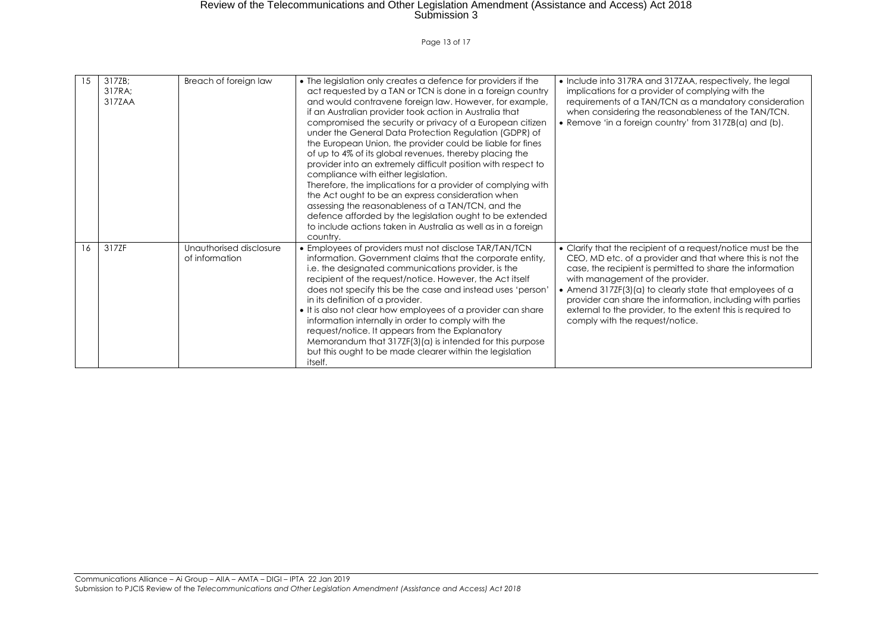Page 13 of 17

| 15 | 317ZB:<br>317RA:<br>317ZAA | Breach of foreign law                     | • The legislation only creates a defence for providers if the<br>act requested by a TAN or TCN is done in a foreign country<br>and would contravene foreign law. However, for example,<br>if an Australian provider took action in Australia that<br>compromised the security or privacy of a European citizen<br>under the General Data Protection Regulation (GDPR) of<br>the European Union, the provider could be liable for fines<br>of up to 4% of its global revenues, thereby placing the<br>provider into an extremely difficult position with respect to<br>compliance with either legislation.<br>Therefore, the implications for a provider of complying with<br>the Act ought to be an express consideration when<br>assessing the reasonableness of a TAN/TCN, and the<br>defence afforded by the legislation ought to be extended<br>to include actions taken in Australia as well as in a foreign<br>country. | • Include into 317RA and 317ZAA, respectively, the legal<br>implications for a provider of complying with the<br>requirements of a TAN/TCN as a mandatory consideration<br>when considering the reasonableness of the TAN/TCN.<br>• Remove 'in a foreign country' from 317ZB(a) and (b).                                                                                                                                                               |
|----|----------------------------|-------------------------------------------|-------------------------------------------------------------------------------------------------------------------------------------------------------------------------------------------------------------------------------------------------------------------------------------------------------------------------------------------------------------------------------------------------------------------------------------------------------------------------------------------------------------------------------------------------------------------------------------------------------------------------------------------------------------------------------------------------------------------------------------------------------------------------------------------------------------------------------------------------------------------------------------------------------------------------------|--------------------------------------------------------------------------------------------------------------------------------------------------------------------------------------------------------------------------------------------------------------------------------------------------------------------------------------------------------------------------------------------------------------------------------------------------------|
| 16 | 317ZF                      | Unauthorised disclosure<br>of information | • Employees of providers must not disclose TAR/TAN/TCN<br>information. Government claims that the corporate entity,<br>i.e. the designated communications provider, is the<br>recipient of the request/notice. However, the Act itself<br>does not specify this be the case and instead uses 'person'<br>in its definition of a provider.<br>• It is also not clear how employees of a provider can share<br>information internally in order to comply with the<br>request/notice. It appears from the Explanatory<br>Memorandum that 317ZF(3)(a) is intended for this purpose<br>but this ought to be made clearer within the legislation<br>itself.                                                                                                                                                                                                                                                                         | • Clarify that the recipient of a request/notice must be the<br>CEO, MD etc. of a provider and that where this is not the<br>case, the recipient is permitted to share the information<br>with management of the provider.<br>• Amend 317ZF(3)(a) to clearly state that employees of a<br>provider can share the information, including with parties<br>external to the provider, to the extent this is required to<br>comply with the request/notice. |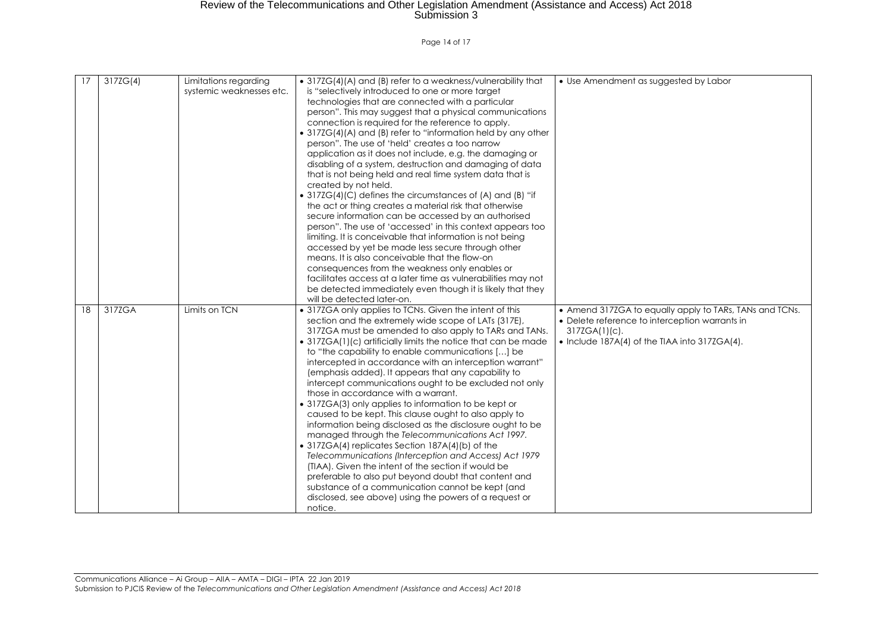Page 14 of 17

| 17 | 3172G(4) | Limitations regarding<br>systemic weaknesses etc. | • 317ZG(4)(A) and (B) refer to a weakness/vulnerability that<br>is "selectively introduced to one or more target<br>technologies that are connected with a particular<br>person". This may suggest that a physical communications<br>connection is required for the reference to apply.<br>• 317ZG(4)(A) and (B) refer to "information held by any other<br>person". The use of 'held' creates a too narrow<br>application as it does not include, e.g. the damaging or<br>disabling of a system, destruction and damaging of data<br>that is not being held and real time system data that is<br>created by not held.<br>• 317ZG(4)(C) defines the circumstances of (A) and (B) "if<br>the act or thing creates a material risk that otherwise<br>secure information can be accessed by an authorised<br>person". The use of 'accessed' in this context appears too<br>limiting. It is conceivable that information is not being<br>accessed by yet be made less secure through other<br>means. It is also conceivable that the flow-on<br>consequences from the weakness only enables or<br>facilitates access at a later time as vulnerabilities may not<br>be detected immediately even though it is likely that they<br>will be detected later-on. | • Use Amendment as suggested by Labor                                                                                                                                                  |
|----|----------|---------------------------------------------------|---------------------------------------------------------------------------------------------------------------------------------------------------------------------------------------------------------------------------------------------------------------------------------------------------------------------------------------------------------------------------------------------------------------------------------------------------------------------------------------------------------------------------------------------------------------------------------------------------------------------------------------------------------------------------------------------------------------------------------------------------------------------------------------------------------------------------------------------------------------------------------------------------------------------------------------------------------------------------------------------------------------------------------------------------------------------------------------------------------------------------------------------------------------------------------------------------------------------------------------------------------|----------------------------------------------------------------------------------------------------------------------------------------------------------------------------------------|
| 18 | 317ZGA   | Limits on TCN                                     | • 317ZGA only applies to TCNs. Given the intent of this<br>section and the extremely wide scope of LATs (317E),<br>317ZGA must be amended to also apply to TARs and TANs.<br>• 317ZGA(1)(c) artificially limits the notice that can be made<br>to "the capability to enable communications [] be<br>intercepted in accordance with an interception warrant"<br>(emphasis added). It appears that any capability to<br>intercept communications ought to be excluded not only<br>those in accordance with a warrant.<br>• 317ZGA(3) only applies to information to be kept or<br>caused to be kept. This clause ought to also apply to<br>information being disclosed as the disclosure ought to be<br>managed through the Telecommunications Act 1997.<br>• 317ZGA(4) replicates Section 187A(4)(b) of the<br>Telecommunications (Interception and Access) Act 1979<br>(TIAA). Given the intent of the section if would be<br>preferable to also put beyond doubt that content and<br>substance of a communication cannot be kept (and<br>disclosed, see above) using the powers of a request or<br>notice.                                                                                                                                             | • Amend 317ZGA to equally apply to TARs, TANs and TCNs.<br>• Delete reference to interception warrants in<br>$317ZGA(1)(c)$ .<br>$\bullet$ Include 187A(4) of the TIAA into 317ZGA(4). |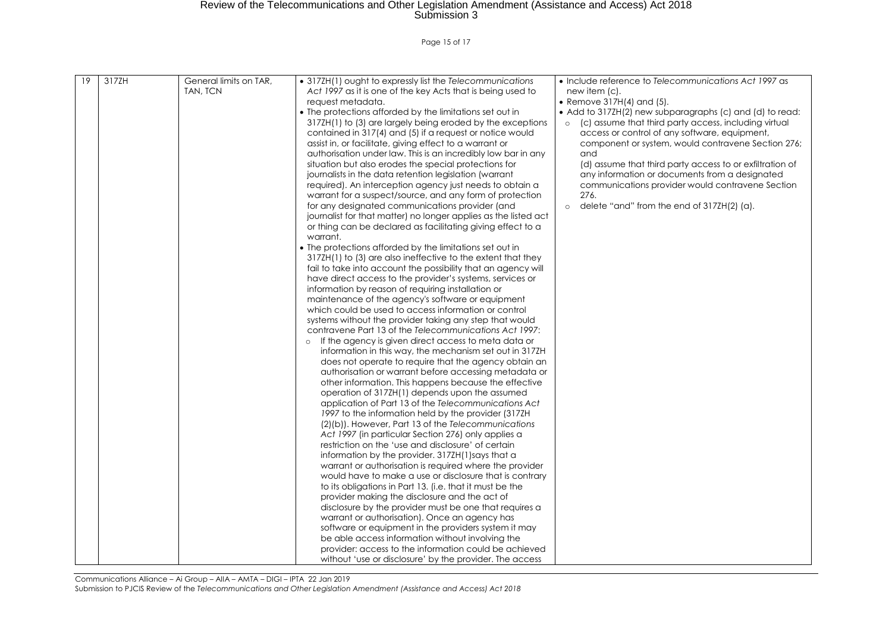Page 15 of 17

| 19 | 317ZH | General limits on TAR,<br>TAN, TCN | • 317ZH(1) ought to expressly list the Telecommunications<br>Act 1997 as it is one of the key Acts that is being used to<br>reauest metadata.<br>• The protections afforded by the limitations set out in<br>317ZH(1) to (3) are largely being eroded by the exceptions<br>contained in 317(4) and (5) if a request or notice would<br>assist in, or facilitate, giving effect to a warrant or<br>authorisation under law. This is an incredibly low bar in any<br>situation but also erodes the special protections for<br>journalists in the data retention legislation (warrant<br>required). An interception agency just needs to obtain a<br>warrant for a suspect/source, and any form of protection<br>for any designated communications provider (and<br>journalist for that matter) no longer applies as the listed act<br>or thing can be declared as facilitating giving effect to a<br>warrant.<br>• The protections afforded by the limitations set out in<br>317ZH(1) to (3) are also ineffective to the extent that they<br>fail to take into account the possibility that an agency will<br>have direct access to the provider's systems, services or<br>information by reason of requiring installation or<br>maintenance of the agency's software or equipment<br>which could be used to access information or control<br>systems without the provider taking any step that would<br>contravene Part 13 of the Telecommunications Act 1997:<br>If the agency is given direct access to meta data or<br>information in this way, the mechanism set out in 317ZH<br>does not operate to require that the agency obtain an<br>authorisation or warrant before accessing metadata or<br>other information. This happens because the effective<br>operation of 317ZH(1) depends upon the assumed<br>application of Part 13 of the Telecommunications Act<br>1997 to the information held by the provider (317ZH)<br>(2)(b)). However, Part 13 of the Telecommunications<br>Act 1997 (in particular Section 276) only applies a<br>restriction on the 'use and disclosure' of certain<br>information by the provider. 317ZH(1)says that a<br>warrant or authorisation is required where the provider<br>would have to make a use or disclosure that is contrary<br>to its obligations in Part 13. (i.e. that it must be the<br>provider making the disclosure and the act of<br>disclosure by the provider must be one that requires a<br>warrant or authorisation). Once an agency has<br>software or equipment in the providers system it may<br>be able access information without involving the | • Include reference to Telecommunications Act 1997 as<br>new item (c).<br>• Remove $317H(4)$ and $(5)$ .<br>• Add to 317ZH(2) new subparagraphs (c) and (d) to read:<br>(c) assume that third party access, including virtual<br>access or control of any software, equipment,<br>component or system, would contravene Section 276;<br>and<br>(d) assume that third party access to or exfiltration of<br>any information or documents from a designated<br>communications provider would contravene Section<br>276.<br>delete "and" from the end of 317ZH(2) (a).<br>$\circ$ |
|----|-------|------------------------------------|-----------------------------------------------------------------------------------------------------------------------------------------------------------------------------------------------------------------------------------------------------------------------------------------------------------------------------------------------------------------------------------------------------------------------------------------------------------------------------------------------------------------------------------------------------------------------------------------------------------------------------------------------------------------------------------------------------------------------------------------------------------------------------------------------------------------------------------------------------------------------------------------------------------------------------------------------------------------------------------------------------------------------------------------------------------------------------------------------------------------------------------------------------------------------------------------------------------------------------------------------------------------------------------------------------------------------------------------------------------------------------------------------------------------------------------------------------------------------------------------------------------------------------------------------------------------------------------------------------------------------------------------------------------------------------------------------------------------------------------------------------------------------------------------------------------------------------------------------------------------------------------------------------------------------------------------------------------------------------------------------------------------------------------------------------------------------------------------------------------------------------------------------------------------------------------------------------------------------------------------------------------------------------------------------------------------------------------------------------------------------------------------------------------------------------------------------------------------------------------------------------------------------------------------------------------------------------------------------------------------|--------------------------------------------------------------------------------------------------------------------------------------------------------------------------------------------------------------------------------------------------------------------------------------------------------------------------------------------------------------------------------------------------------------------------------------------------------------------------------------------------------------------------------------------------------------------------------|
|    |       |                                    | provider: access to the information could be achieved<br>without 'use or disclosure' by the provider. The access                                                                                                                                                                                                                                                                                                                                                                                                                                                                                                                                                                                                                                                                                                                                                                                                                                                                                                                                                                                                                                                                                                                                                                                                                                                                                                                                                                                                                                                                                                                                                                                                                                                                                                                                                                                                                                                                                                                                                                                                                                                                                                                                                                                                                                                                                                                                                                                                                                                                                                |                                                                                                                                                                                                                                                                                                                                                                                                                                                                                                                                                                                |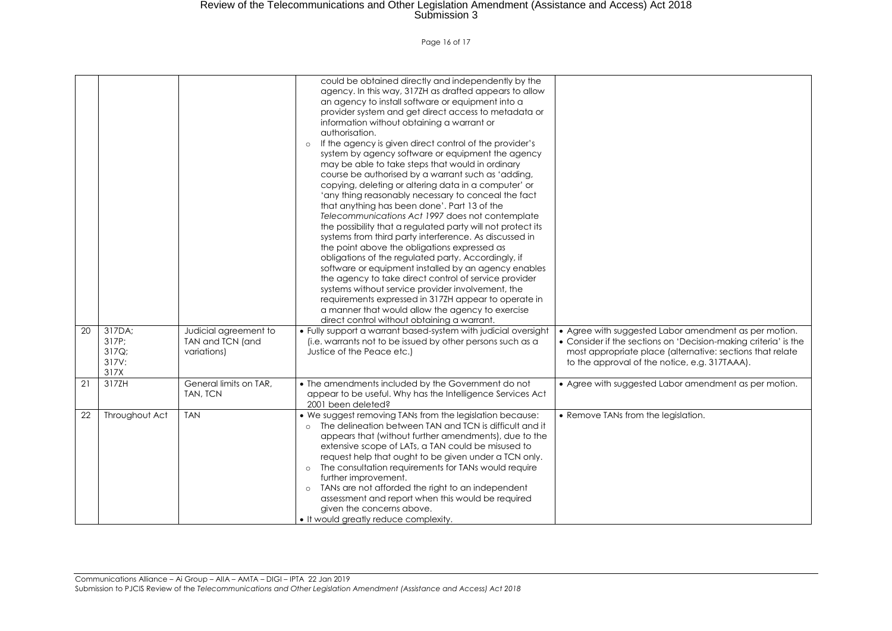#### Page 16 of 17

|                 |                                           |                                                          | could be obtained directly and independently by the<br>agency. In this way, 317ZH as drafted appears to allow<br>an agency to install software or equipment into a<br>provider system and get direct access to metadata or<br>information without obtaining a warrant or<br>authorisation.<br>If the agency is given direct control of the provider's<br>system by agency software or equipment the agency<br>may be able to take steps that would in ordinary<br>course be authorised by a warrant such as 'adding,<br>copying, deleting or altering data in a computer' or<br>'any thing reasonably necessary to conceal the fact<br>that anything has been done'. Part 13 of the<br>Telecommunications Act 1997 does not contemplate<br>the possibility that a regulated party will not protect its<br>systems from third party interference. As discussed in<br>the point above the obligations expressed as<br>obligations of the regulated party. Accordingly, if<br>software or equipment installed by an agency enables<br>the agency to take direct control of service provider<br>systems without service provider involvement, the<br>requirements expressed in 317ZH appear to operate in<br>a manner that would allow the agency to exercise<br>direct control without obtaining a warrant. |                                                                                                                                                                                                                                        |
|-----------------|-------------------------------------------|----------------------------------------------------------|----------------------------------------------------------------------------------------------------------------------------------------------------------------------------------------------------------------------------------------------------------------------------------------------------------------------------------------------------------------------------------------------------------------------------------------------------------------------------------------------------------------------------------------------------------------------------------------------------------------------------------------------------------------------------------------------------------------------------------------------------------------------------------------------------------------------------------------------------------------------------------------------------------------------------------------------------------------------------------------------------------------------------------------------------------------------------------------------------------------------------------------------------------------------------------------------------------------------------------------------------------------------------------------------------------|----------------------------------------------------------------------------------------------------------------------------------------------------------------------------------------------------------------------------------------|
| 20              | 317DA;<br>317P;<br>317Q;<br>317V:<br>317X | Judicial agreement to<br>TAN and TCN (and<br>variations) | . Fully support a warrant based-system with judicial oversight<br>(i.e. warrants not to be issued by other persons such as a<br>Justice of the Peace etc.)                                                                                                                                                                                                                                                                                                                                                                                                                                                                                                                                                                                                                                                                                                                                                                                                                                                                                                                                                                                                                                                                                                                                               | • Agree with suggested Labor amendment as per motion.<br>• Consider if the sections on 'Decision-making criteria' is the<br>most appropriate place (alternative: sections that relate<br>to the approval of the notice, e.g. 317TAAA). |
| $\overline{21}$ | 317ZH                                     | General limits on TAR,<br>TAN, TCN                       | • The amendments included by the Government do not<br>appear to be useful. Why has the Intelligence Services Act<br>2001 been deleted?                                                                                                                                                                                                                                                                                                                                                                                                                                                                                                                                                                                                                                                                                                                                                                                                                                                                                                                                                                                                                                                                                                                                                                   | • Agree with suggested Labor amendment as per motion.                                                                                                                                                                                  |
| 22              | Throughout Act                            | <b>TAN</b>                                               | . We suggest removing TANs from the legislation because:<br>The delineation between TAN and TCN is difficult and it<br>appears that (without further amendments), due to the<br>extensive scope of LATs, a TAN could be misused to<br>request help that ought to be given under a TCN only.<br>The consultation requirements for TANs would require<br>$\circ$<br>further improvement.<br>TANs are not afforded the right to an independent<br>$\circ$<br>assessment and report when this would be required<br>given the concerns above.<br>• It would greatly reduce complexity.                                                                                                                                                                                                                                                                                                                                                                                                                                                                                                                                                                                                                                                                                                                        | • Remove TANs from the legislation.                                                                                                                                                                                                    |